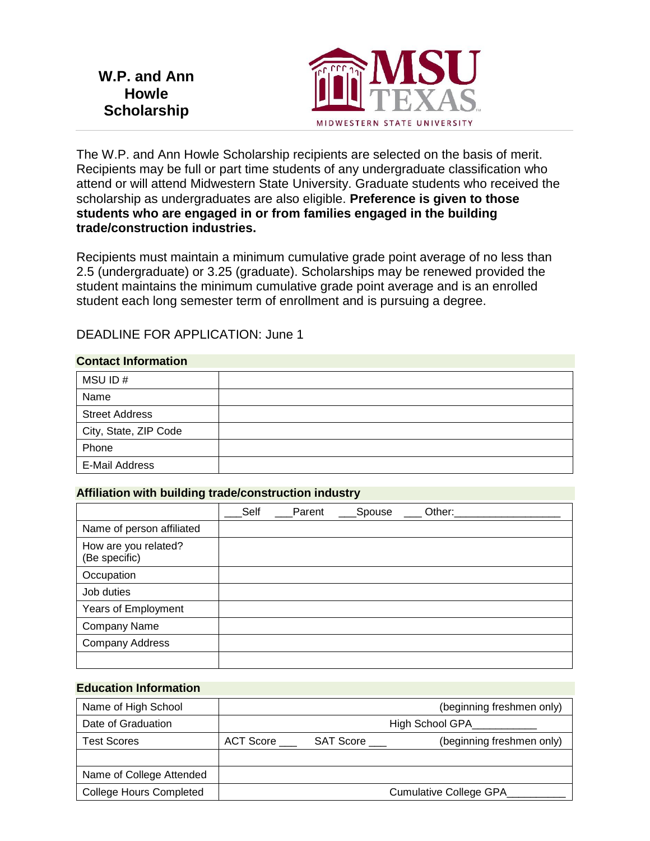**W.P. and Ann Howle Scholarship**



The W.P. and Ann Howle Scholarship recipients are selected on the basis of merit. Recipients may be full or part time students of any undergraduate classification who attend or will attend Midwestern State University. Graduate students who received the scholarship as undergraduates are also eligible. **Preference is given to those students who are engaged in or from families engaged in the building trade/construction industries.**

Recipients must maintain a minimum cumulative grade point average of no less than 2.5 (undergraduate) or 3.25 (graduate). Scholarships may be renewed provided the student maintains the minimum cumulative grade point average and is an enrolled student each long semester term of enrollment and is pursuing a degree.

# DEADLINE FOR APPLICATION: June 1

### **Contact Information**

| MSU ID#               |  |
|-----------------------|--|
| Name                  |  |
| <b>Street Address</b> |  |
| City, State, ZIP Code |  |
| Phone                 |  |
| E-Mail Address        |  |

#### **Affiliation with building trade/construction industry**

|                                       | Self | Parent | Spouse | Other: |  |
|---------------------------------------|------|--------|--------|--------|--|
| Name of person affiliated             |      |        |        |        |  |
| How are you related?<br>(Be specific) |      |        |        |        |  |
| Occupation                            |      |        |        |        |  |
| Job duties                            |      |        |        |        |  |
| Years of Employment                   |      |        |        |        |  |
| <b>Company Name</b>                   |      |        |        |        |  |
| <b>Company Address</b>                |      |        |        |        |  |
|                                       |      |        |        |        |  |

#### **Education Information**

| Name of High School            |                 |           | (beginning freshmen only) |  |
|--------------------------------|-----------------|-----------|---------------------------|--|
| Date of Graduation             | High School GPA |           |                           |  |
| <b>Test Scores</b>             | ACT Score       | SAT Score | (beginning freshmen only) |  |
|                                |                 |           |                           |  |
| Name of College Attended       |                 |           |                           |  |
| <b>College Hours Completed</b> |                 |           | Cumulative College GPA    |  |